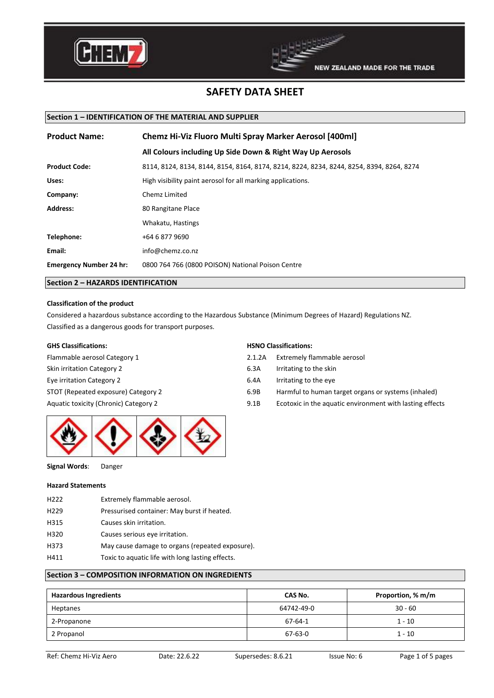



## **Section 1 – IDENTIFICATION OF THE MATERIAL AND SUPPLIER**

| <b>Product Name:</b>           | <b>Chemz Hi-Viz Fluoro Multi Spray Marker Aerosol [400ml]</b>                            |  |
|--------------------------------|------------------------------------------------------------------------------------------|--|
|                                | All Colours including Up Side Down & Right Way Up Aerosols                               |  |
| <b>Product Code:</b>           | 8114, 8124, 8134, 8144, 8154, 8164, 8174, 8214, 8224, 8234, 8244, 8254, 8394, 8264, 8274 |  |
| Uses:                          | High visibility paint aerosol for all marking applications.                              |  |
| Company:                       | Chemz Limited                                                                            |  |
| <b>Address:</b>                | 80 Rangitane Place                                                                       |  |
|                                | Whakatu, Hastings                                                                        |  |
| Telephone:                     | +64 6 877 9690                                                                           |  |
| Email:                         | info@chemz.co.nz                                                                         |  |
| <b>Emergency Number 24 hr:</b> | 0800 764 766 (0800 POISON) National Poison Centre                                        |  |

### **Section 2 – HAZARDS IDENTIFICATION**

### **Classification of the product**

Considered a hazardous substance according to the Hazardous Substance (Minimum Degrees of Hazard) Regulations NZ. Classified as a dangerous goods for transport purposes.

# **GHS Classifications: HSNO Classifications:**

Flammable aerosol Category 1 2.1.2A Extremely flammable aerosol Skin irritation Category 2 6.3A Irritating to the skin Eye irritation Category 2 6.4A Irritating to the eye



**Signal Words**: Danger

#### **Hazard Statements**

H222 Extremely flammable aerosol. H229 Pressurised container: May burst if heated. H315 Causes skin irritation. H320 Causes serious eye irritation. H373 May cause damage to organs (repeated exposure). H411 Toxic to aquatic life with long lasting effects.

- 
- 
- 
- STOT (Repeated exposure) Category 2 6.9B Harmful to human target organs or systems (inhaled)
- Aquatic toxicity (Chronic) Category 2 9.1B Ecotoxic in the aquatic environment with lasting effects

# **Section 3 – COMPOSITION INFORMATION ON INGREDIENTS**

| <b>Hazardous Ingredients</b> | CAS No.    | Proportion, % m/m |
|------------------------------|------------|-------------------|
| Heptanes                     | 64742-49-0 | $30 - 60$         |
| 2-Propanone                  | 67-64-1    | $1 - 10$          |
| 2 Propanol                   | 67-63-0    | $1 - 10$          |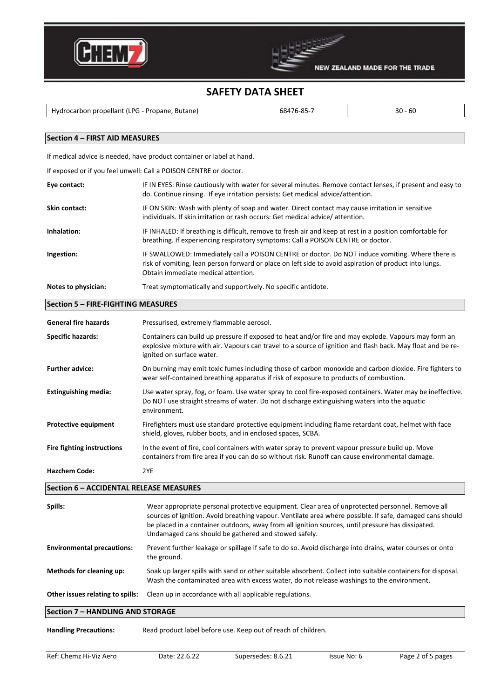



Hydrocarbon propellant (LPG - Propane, Butane) 68476-85-7 1990 100 - 60

## **Section 4 – FIRST AID MEASURES**

If medical advice is needed, have product container or label at hand.

If exposed or if you feel unwell: Call a POISON CENTRE or doctor.

| Eye contact:        | IF IN EYES: Rinse cautiously with water for several minutes. Remove contact lenses, if present and easy to<br>do. Continue rinsing. If eye irritation persists: Get medical advice/attention.                                                     |
|---------------------|---------------------------------------------------------------------------------------------------------------------------------------------------------------------------------------------------------------------------------------------------|
| Skin contact:       | IF ON SKIN: Wash with plenty of soap and water. Direct contact may cause irritation in sensitive<br>individuals. If skin irritation or rash occurs: Get medical advice/attention.                                                                 |
| Inhalation:         | IF INHALED: If breathing is difficult, remove to fresh air and keep at rest in a position comfortable for<br>breathing. If experiencing respiratory symptoms: Call a POISON CENTRE or doctor.                                                     |
| Ingestion:          | IF SWALLOWED: Immediately call a POISON CENTRE or doctor. Do NOT induce vomiting. Where there is<br>risk of vomiting, lean person forward or place on left side to avoid aspiration of product into lungs.<br>Obtain immediate medical attention. |
| Notes to physician: | Treat symptomatically and supportively. No specific antidote.                                                                                                                                                                                     |

# **Section 5 – FIRE-FIGHTING MEASURES**

| <b>General fire hazards</b> | Pressurised, extremely flammable aerosol.                                                                                                                                                                                                        |
|-----------------------------|--------------------------------------------------------------------------------------------------------------------------------------------------------------------------------------------------------------------------------------------------|
| <b>Specific hazards:</b>    | Containers can build up pressure if exposed to heat and/or fire and may explode. Vapours may form an<br>explosive mixture with air. Vapours can travel to a source of ignition and flash back. May float and be re-<br>ignited on surface water. |
| <b>Further advice:</b>      | On burning may emit toxic fumes including those of carbon monoxide and carbon dioxide. Fire fighters to<br>wear self-contained breathing apparatus if risk of exposure to products of combustion.                                                |
| <b>Extinguishing media:</b> | Use water spray, fog, or foam. Use water spray to cool fire-exposed containers. Water may be ineffective.<br>Do NOT use straight streams of water. Do not discharge extinguishing waters into the aquatic<br>environment.                        |
| <b>Protective equipment</b> | Firefighters must use standard protective equipment including flame retardant coat, helmet with face<br>shield, gloves, rubber boots, and in enclosed spaces, SCBA.                                                                              |
| Fire fighting instructions  | In the event of fire, cool containers with water spray to prevent vapour pressure build up. Move<br>containers from fire area if you can do so without risk. Runoff can cause environmental damage.                                              |
| <b>Hazchem Code:</b>        | 2YE                                                                                                                                                                                                                                              |

# **Section 6 – ACCIDENTAL RELEASE MEASURES**

| Spills:                           | Wear appropriate personal protective equipment. Clear area of unprotected personnel. Remove all<br>sources of ignition. Avoid breathing vapour. Ventilate area where possible. If safe, damaged cans should<br>be placed in a container outdoors, away from all ignition sources, until pressure has dissipated.<br>Undamaged cans should be gathered and stowed safely. |  |
|-----------------------------------|--------------------------------------------------------------------------------------------------------------------------------------------------------------------------------------------------------------------------------------------------------------------------------------------------------------------------------------------------------------------------|--|
| <b>Environmental precautions:</b> | Prevent further leakage or spillage if safe to do so. Avoid discharge into drains, water courses or onto<br>the ground.                                                                                                                                                                                                                                                  |  |
| Methods for cleaning up:          | Soak up larger spills with sand or other suitable absorbent. Collect into suitable containers for disposal.<br>Wash the contaminated area with excess water, do not release washings to the environment.                                                                                                                                                                 |  |
| Other issues relating to spills:  | Clean up in accordance with all applicable regulations.                                                                                                                                                                                                                                                                                                                  |  |
| Section 7 - HANDLING AND STORAGE  |                                                                                                                                                                                                                                                                                                                                                                          |  |

**Handling Precautions:** Read product label before use. Keep out of reach of children.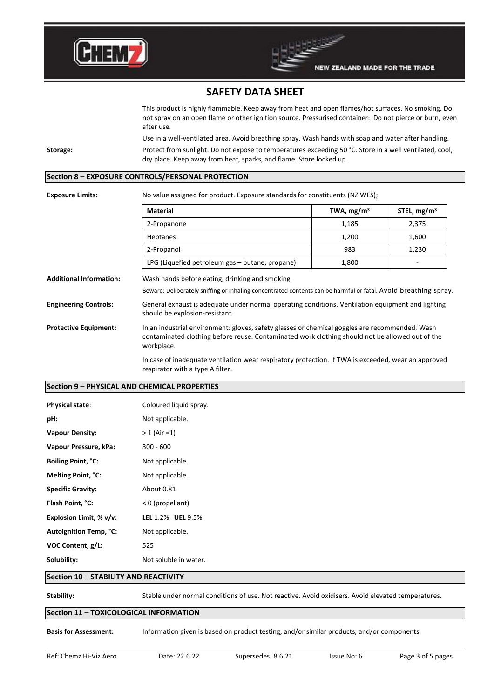

This product is highly flammable. Keep away from heat and open flames/hot surfaces. No smoking. Do not spray on an open flame or other ignition source. Pressurised container: Do not pierce or burn, even after use.

Use in a well-ventilated area. Avoid breathing spray. Wash hands with soap and water after handling. **Storage:** Protect from sunlight. Do not expose to temperatures exceeding 50 °C. Store in a well ventilated, cool, dry place. Keep away from heat, sparks, and flame. Store locked up.

# **Section 8 – EXPOSURE CONTROLS/PERSONAL PROTECTION**

**Exposure Limits:** No value assigned for product. Exposure standards for constituents (NZ WES);

|                                | <b>Material</b>                                                                                                                                                                                   | TWA, $mg/m3$ | STEL, $mg/m3$ |
|--------------------------------|---------------------------------------------------------------------------------------------------------------------------------------------------------------------------------------------------|--------------|---------------|
|                                | 2-Propanone                                                                                                                                                                                       | 1,185        | 2,375         |
|                                | Heptanes                                                                                                                                                                                          | 1,200        | 1,600         |
|                                | 2-Propanol                                                                                                                                                                                        | 983          | 1,230         |
|                                | LPG (Liquefied petroleum gas - butane, propane)                                                                                                                                                   | 1,800        |               |
| <b>Additional Information:</b> | Wash hands before eating, drinking and smoking.                                                                                                                                                   |              |               |
|                                | Beware: Deliberately sniffing or inhaling concentrated contents can be harmful or fatal. Avoid breathing spray                                                                                    |              |               |
| <b>Engineering Controls:</b>   | General exhaust is adequate under normal operating conditions. Ventilation equipment and lighting<br>should be explosion-resistant.                                                               |              |               |
| <b>Protective Equipment:</b>   | In an industrial environment: gloves, safety glasses or chemical goggles are recommended. Wash<br>contaminated clothing before reuse. Contaminated work clothing should not be allowed out of the |              |               |

workplace.

In case of inadequate ventilation wear respiratory protection. If TWA is exceeded, wear an approved respirator with a type A filter.

#### **Section 9 – PHYSICAL AND CHEMICAL PROPERTIES**

| <b>Physical state:</b>        | Coloured liquid spray. |
|-------------------------------|------------------------|
| pH:                           | Not applicable.        |
| <b>Vapour Density:</b>        | $> 1$ (Air = 1)        |
| Vapour Pressure, kPa:         | $300 - 600$            |
| Boiling Point, °C:            | Not applicable.        |
| Melting Point, °C:            | Not applicable.        |
| <b>Specific Gravity:</b>      | About 0.81             |
| Flash Point, °C:              | < 0 (propellant)       |
| Explosion Limit, % v/v:       | LEL 1.2% UEL 9.5%      |
| <b>Autoignition Temp, °C:</b> | Not applicable.        |
| VOC Content, g/L:             | 525                    |
| Solubility:                   | Not soluble in water.  |
|                               |                        |

## **Section 10 – STABILITY AND REACTIVITY**

**Stability:** Stable under normal conditions of use. Not reactive. Avoid oxidisers. Avoid elevated temperatures.

## **Section 11 – TOXICOLOGICAL INFORMATION**

**Basis for Assessment:** Information given is based on product testing, and/or similar products, and/or components.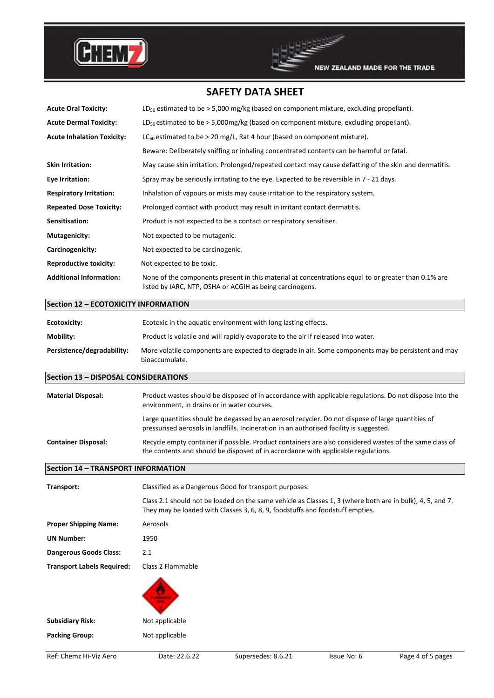



| <b>Acute Oral Toxicity:</b>               | $LD_{50}$ estimated to be > 5,000 mg/kg (based on component mixture, excluding propellant).                                                                                                                                                          |
|-------------------------------------------|------------------------------------------------------------------------------------------------------------------------------------------------------------------------------------------------------------------------------------------------------|
| <b>Acute Dermal Toxicity:</b>             | $LD_{50}$ estimated to be > 5,000mg/kg (based on component mixture, excluding propellant).                                                                                                                                                           |
| <b>Acute Inhalation Toxicity:</b>         | $LC_{50}$ estimated to be > 20 mg/L, Rat 4 hour (based on component mixture).                                                                                                                                                                        |
|                                           | Beware: Deliberately sniffing or inhaling concentrated contents can be harmful or fatal.                                                                                                                                                             |
| <b>Skin Irritation:</b>                   | May cause skin irritation. Prolonged/repeated contact may cause defatting of the skin and dermatitis.                                                                                                                                                |
| <b>Eye Irritation:</b>                    | Spray may be seriously irritating to the eye. Expected to be reversible in 7 - 21 days.                                                                                                                                                              |
| <b>Respiratory Irritation:</b>            | Inhalation of vapours or mists may cause irritation to the respiratory system.                                                                                                                                                                       |
| <b>Repeated Dose Toxicity:</b>            | Prolonged contact with product may result in irritant contact dermatitis.                                                                                                                                                                            |
| Sensitisation:                            | Product is not expected to be a contact or respiratory sensitiser.                                                                                                                                                                                   |
| <b>Mutagenicity:</b>                      | Not expected to be mutagenic.                                                                                                                                                                                                                        |
| Carcinogenicity:                          | Not expected to be carcinogenic.                                                                                                                                                                                                                     |
| <b>Reproductive toxicity:</b>             | Not expected to be toxic.                                                                                                                                                                                                                            |
| <b>Additional Information:</b>            | None of the components present in this material at concentrations equal to or greater than 0.1% are<br>listed by IARC, NTP, OSHA or ACGIH as being carcinogens.                                                                                      |
| Section 12 - ECOTOXICITY INFORMATION      |                                                                                                                                                                                                                                                      |
| <b>Ecotoxicity:</b>                       | Ecotoxic in the aquatic environment with long lasting effects.                                                                                                                                                                                       |
| Mobility:                                 | Product is volatile and will rapidly evaporate to the air if released into water.                                                                                                                                                                    |
| Persistence/degradability:                | More volatile components are expected to degrade in air. Some components may be persistent and may<br>bioaccumulate.                                                                                                                                 |
|                                           |                                                                                                                                                                                                                                                      |
| Section 13 - DISPOSAL CONSIDERATIONS      |                                                                                                                                                                                                                                                      |
| <b>Material Disposal:</b>                 | Product wastes should be disposed of in accordance with applicable regulations. Do not dispose into the<br>environment, in drains or in water courses.                                                                                               |
|                                           | Large quantities should be degassed by an aerosol recycler. Do not dispose of large quantities of<br>pressurised aerosols in landfills. Incineration in an authorised facility is suggested.                                                         |
| <b>Container Disposal:</b>                | Recycle empty container if possible. Product containers are also considered wastes of the same class of<br>the contents and should be disposed of in accordance with applicable regulations.                                                         |
| <b>Section 14 - TRANSPORT INFORMATION</b> |                                                                                                                                                                                                                                                      |
| Transport:                                |                                                                                                                                                                                                                                                      |
|                                           | Classified as a Dangerous Good for transport purposes.<br>Class 2.1 should not be loaded on the same vehicle as Classes 1, 3 (where both are in bulk), 4, 5, and 7.<br>They may be loaded with Classes 3, 6, 8, 9, foodstuffs and foodstuff empties. |
| <b>Proper Shipping Name:</b>              | Aerosols                                                                                                                                                                                                                                             |
| UN Number:                                | 1950                                                                                                                                                                                                                                                 |
| <b>Dangerous Goods Class:</b>             | 2.1                                                                                                                                                                                                                                                  |
| <b>Transport Labels Required:</b>         | Class 2 Flammable                                                                                                                                                                                                                                    |
|                                           |                                                                                                                                                                                                                                                      |
| <b>Subsidiary Risk:</b>                   | Not applicable                                                                                                                                                                                                                                       |